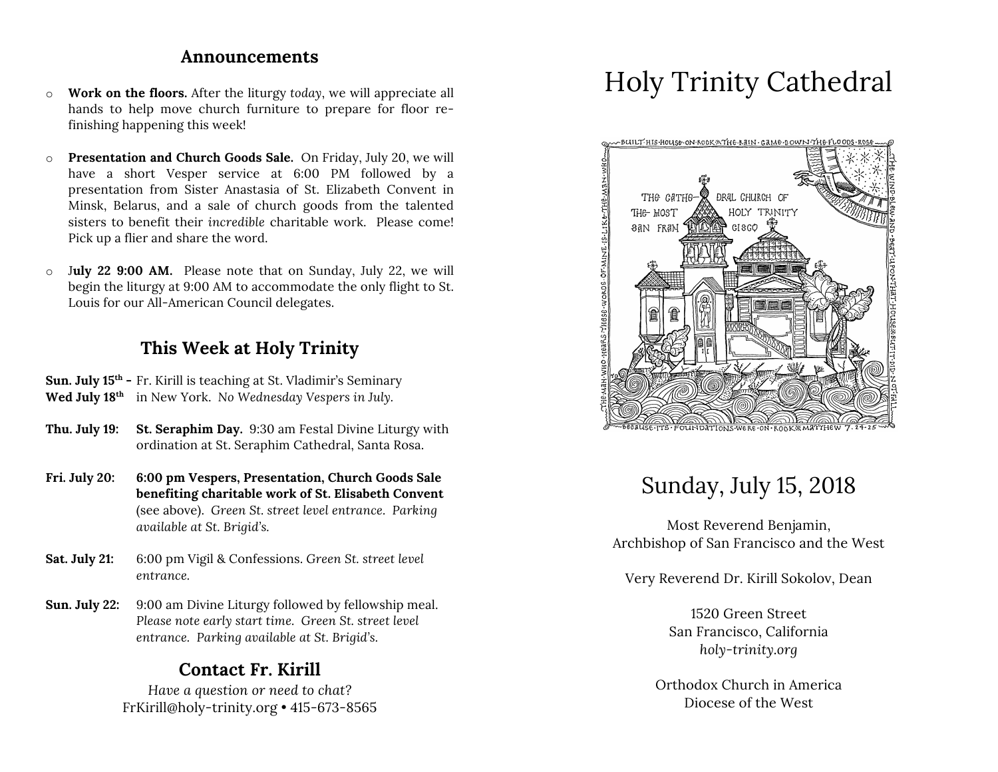## **Announcements**

- o **Work on the floors.** After the liturgy *today*, we will appreciate all hands to help move church furniture to prepare for floor refinishing happening this week!
- o **Presentation and Church Goods Sale.** On Friday, July 20, we will have a short Vesper service at 6:00 PM followed by a presentation from Sister Anastasia of St. Elizabeth Convent in Minsk, Belarus, and a sale of church goods from the talented sisters to benefit their *incredible* charitable work. Please come! Pick up a flier and share the word.
- o J**uly 22 9:00 AM.** Please note that on Sunday, July 22, we will begin the liturgy at 9:00 AM to accommodate the only flight to St. Louis for our All-American Council delegates.

# **This Week at Holy Trinity**

**Sun. July 15th -** Fr. Kirill is teaching at St. Vladimir's Seminary **Wed July 18th** in New York. *No Wednesday Vespers in July.*

- **Thu. July 19: St. Seraphim Day.** 9:30 am Festal Divine Liturgy with ordination at St. Seraphim Cathedral, Santa Rosa.
- **Fri. July 20: 6:00 pm Vespers, Presentation, Church Goods Sale benefiting charitable work of St. Elisabeth Convent** (see above). *Green St. street level entrance. Parking available at St. Brigid's.*
- **Sat. July 21:** 6:00 pm Vigil & Confessions. *Green St. street level entrance.*
- **Sun. July 22:** 9:00 am Divine Liturgy followed by fellowship meal. *Please note early start time. Green St. street level entrance. Parking available at St. Brigid's.*

# **Contact Fr. Kirill**

*Have a question or need to chat?* FrKirill@holy-trinity.org • 415-673-8565

# Holy Trinity Cathedral



# Sunday, July 15, 2018

Most Reverend Benjamin, Archbishop of San Francisco and the West

Very Reverend Dr. Kirill Sokolov, Dean

1520 Green Street San Francisco, California *holy-trinity.org*

Orthodox Church in America Diocese of the West